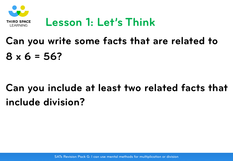

#### **Lesson 1: Let's Think**

# **Can you write some facts that are related to 8 x 6 = 56?**

# **Can you include at least two related facts that include division?**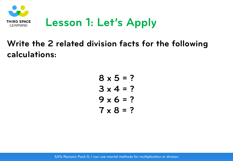

## **Lesson 1: Let's Apply**

#### **Write the 2 related division facts for the following calculations:**

**8 x 5 = ? 3 x 4 = ? 9 x 6 = ? 7 x 8 = ?**

SATs Revision Pack G: I can use mental methods for multiplication or division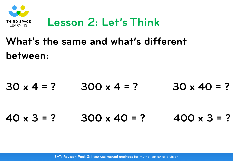

#### **Lesson 2: Let's Think**

# **What's the same and what's different between:**

 $30 \times 4 = ?$   $300 \times 4 = ?$   $30 \times 40 = ?$ **40 x 3 = ? 300 x 40 = ? 400 x 3 = ?**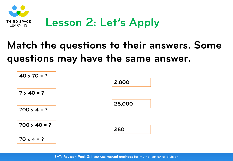

## **Lesson 2: Let's Apply**

## **Match the questions to their answers. Some questions may have the same answer.**

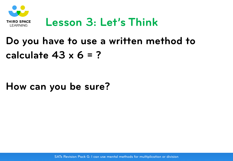

#### **Lesson 3: Let's Think**

#### **Do you have to use a written method to calculate 43 x 6 = ?**

#### **How can you be sure?**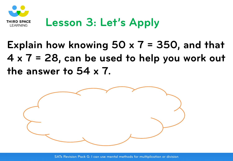

## **Lesson 3: Let's Apply**

## **Explain how knowing 50 x 7 = 350, and that 4 x 7 = 28, can be used to help you work out the answer to 54 x 7.**



SATs Revision Pack G: I can use mental methods for multiplication or division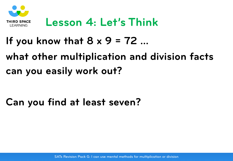

#### **Lesson 4: Let's Think**

#### **If you know that 8 x 9 = 72 …**

## **what other multiplication and division facts can you easily work out?**

#### **Can you find at least seven?**